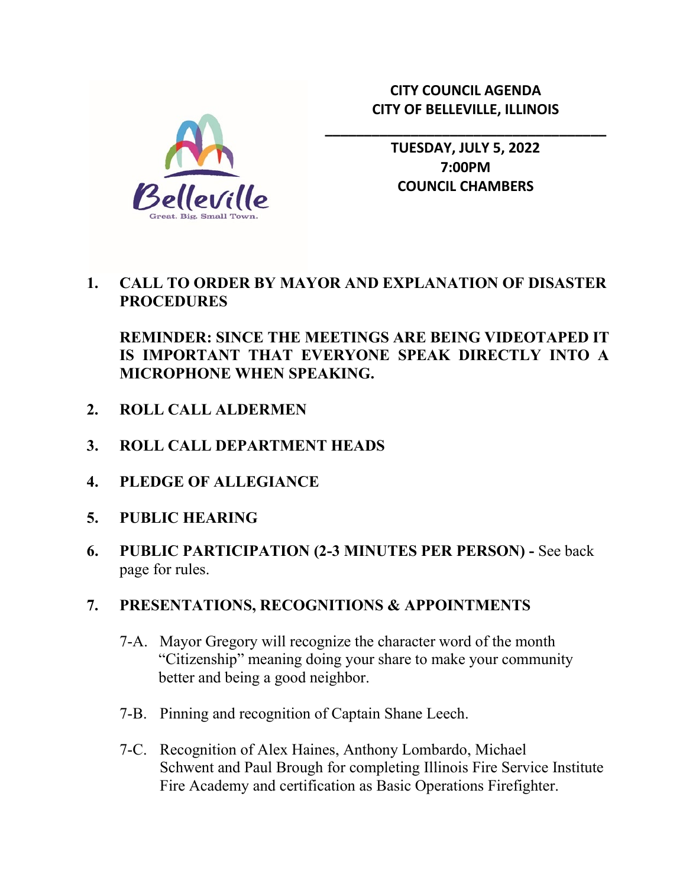

**\_\_\_\_\_\_\_\_\_\_\_\_\_\_\_\_\_\_\_\_\_\_\_\_\_\_\_\_\_\_\_\_\_\_\_\_**



**TUESDAY, JULY 5, 2022 7:00PM COUNCIL CHAMBERS**

## **1. CALL TO ORDER BY MAYOR AND EXPLANATION OF DISASTER PROCEDURES**

# **REMINDER: SINCE THE MEETINGS ARE BEING VIDEOTAPED IT IS IMPORTANT THAT EVERYONE SPEAK DIRECTLY INTO A MICROPHONE WHEN SPEAKING.**

- **2. ROLL CALL ALDERMEN**
- **3. ROLL CALL DEPARTMENT HEADS**
- **4. PLEDGE OF ALLEGIANCE**
- **5. PUBLIC HEARING**
- **6. PUBLIC PARTICIPATION (2-3 MINUTES PER PERSON) -** See back page for rules.

#### **7. PRESENTATIONS, RECOGNITIONS & APPOINTMENTS**

- 7-A. Mayor Gregory will recognize the character word of the month "Citizenship" meaning doing your share to make your community better and being a good neighbor.
- 7-B. Pinning and recognition of Captain Shane Leech.
- 7-C. Recognition of Alex Haines, Anthony Lombardo, Michael Schwent and Paul Brough for completing Illinois Fire Service Institute Fire Academy and certification as Basic Operations Firefighter.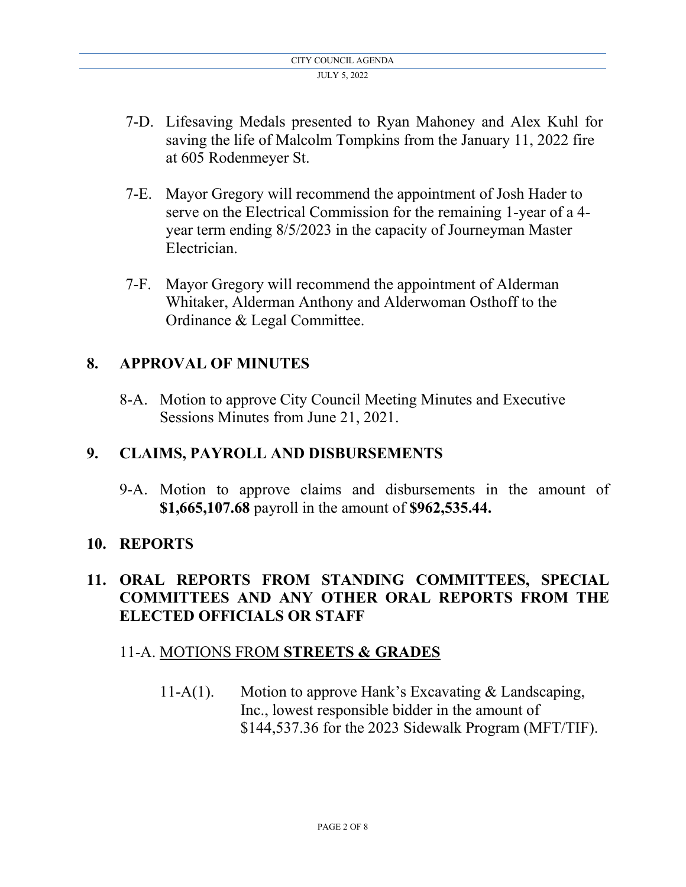- 7-D. Lifesaving Medals presented to Ryan Mahoney and Alex Kuhl for saving the life of Malcolm Tompkins from the January 11, 2022 fire at 605 Rodenmeyer St.
- 7-E. Mayor Gregory will recommend the appointment of Josh Hader to serve on the Electrical Commission for the remaining 1-year of a 4 year term ending 8/5/2023 in the capacity of Journeyman Master Electrician.
- 7-F. Mayor Gregory will recommend the appointment of Alderman Whitaker, Alderman Anthony and Alderwoman Osthoff to the Ordinance & Legal Committee.

# **8. APPROVAL OF MINUTES**

8-A. Motion to approve City Council Meeting Minutes and Executive Sessions Minutes from June 21, 2021.

# **9. CLAIMS, PAYROLL AND DISBURSEMENTS**

9-A. Motion to approve claims and disbursements in the amount of **\$1,665,107.68** payroll in the amount of **\$962,535.44.**

# **10. REPORTS**

# **11. ORAL REPORTS FROM STANDING COMMITTEES, SPECIAL COMMITTEES AND ANY OTHER ORAL REPORTS FROM THE ELECTED OFFICIALS OR STAFF**

# 11-A. MOTIONS FROM **STREETS & GRADES**

11-A(1). Motion to approve Hank's Excavating & Landscaping, Inc., lowest responsible bidder in the amount of \$144,537.36 for the 2023 Sidewalk Program (MFT/TIF).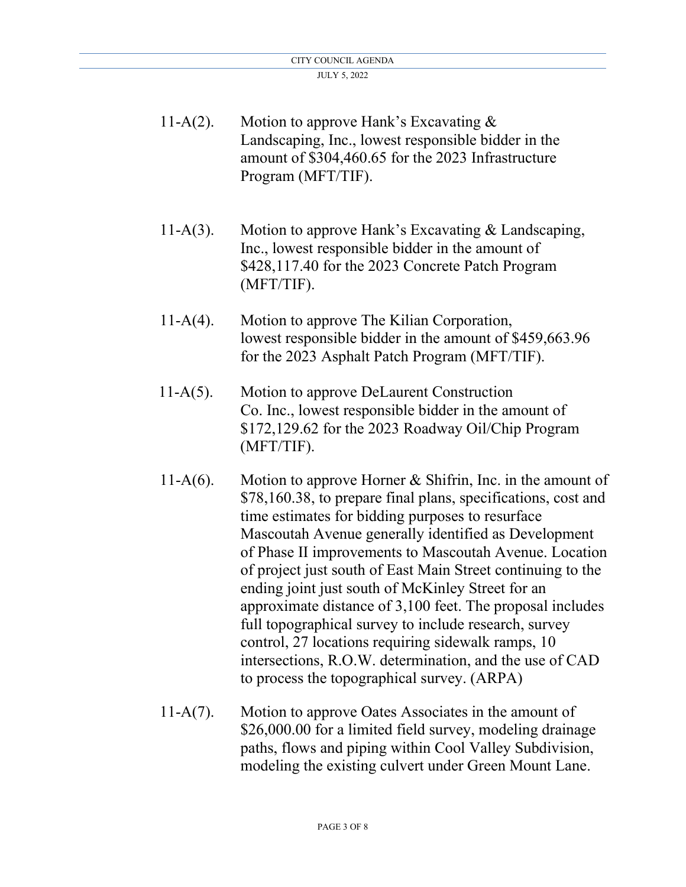| $11-A(2)$ . | Motion to approve Hank's Excavating $&$<br>Landscaping, Inc., lowest responsible bidder in the<br>amount of \$304,460.65 for the 2023 Infrastructure<br>Program (MFT/TIF).                                                                                                                                                                                                                                                                                                                                                                                                                                                                                                                                   |
|-------------|--------------------------------------------------------------------------------------------------------------------------------------------------------------------------------------------------------------------------------------------------------------------------------------------------------------------------------------------------------------------------------------------------------------------------------------------------------------------------------------------------------------------------------------------------------------------------------------------------------------------------------------------------------------------------------------------------------------|
| $11-A(3)$ . | Motion to approve Hank's Excavating & Landscaping,<br>Inc., lowest responsible bidder in the amount of<br>\$428,117.40 for the 2023 Concrete Patch Program<br>(MFT/TIF).                                                                                                                                                                                                                                                                                                                                                                                                                                                                                                                                     |
| $11-A(4)$ . | Motion to approve The Kilian Corporation,<br>lowest responsible bidder in the amount of \$459,663.96<br>for the 2023 Asphalt Patch Program (MFT/TIF).                                                                                                                                                                                                                                                                                                                                                                                                                                                                                                                                                        |
| $11-A(5)$ . | Motion to approve DeLaurent Construction<br>Co. Inc., lowest responsible bidder in the amount of<br>\$172,129.62 for the 2023 Roadway Oil/Chip Program<br>(MFT/TIF).                                                                                                                                                                                                                                                                                                                                                                                                                                                                                                                                         |
| $11-A(6)$ . | Motion to approve Horner $&$ Shifrin, Inc. in the amount of<br>\$78,160.38, to prepare final plans, specifications, cost and<br>time estimates for bidding purposes to resurface<br>Mascoutah Avenue generally identified as Development<br>of Phase II improvements to Mascoutah Avenue. Location<br>of project just south of East Main Street continuing to the<br>ending joint just south of McKinley Street for an<br>approximate distance of 3,100 feet. The proposal includes<br>full topographical survey to include research, survey<br>control, 27 locations requiring sidewalk ramps, 10<br>intersections, R.O.W. determination, and the use of CAD<br>to process the topographical survey. (ARPA) |

11-A(7). Motion to approve Oates Associates in the amount of \$26,000.00 for a limited field survey, modeling drainage paths, flows and piping within Cool Valley Subdivision, modeling the existing culvert under Green Mount Lane.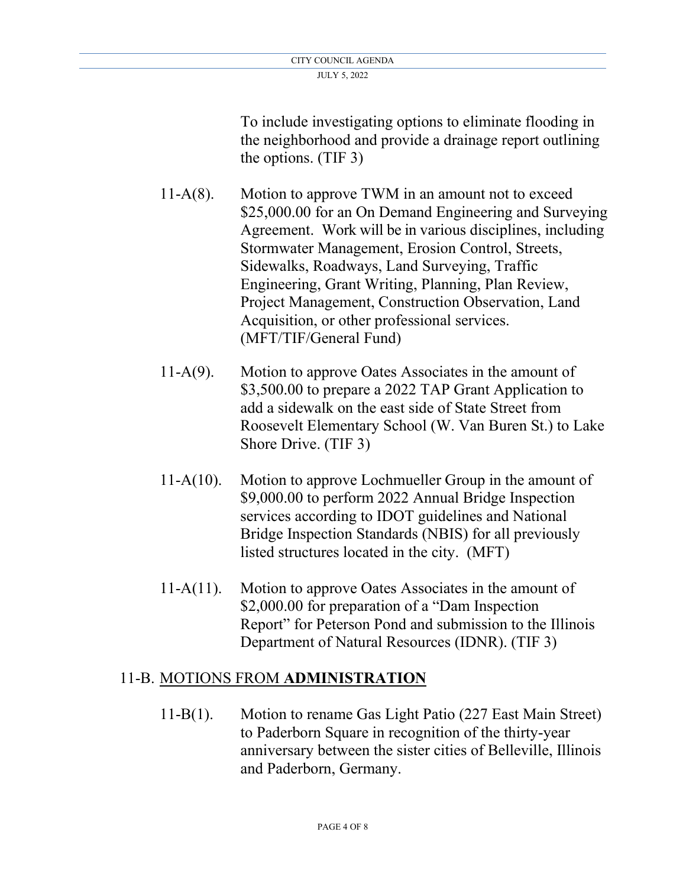To include investigating options to eliminate flooding in the neighborhood and provide a drainage report outlining the options. (TIF 3)

- 11-A(8). Motion to approve TWM in an amount not to exceed \$25,000.00 for an On Demand Engineering and Surveying Agreement. Work will be in various disciplines, including Stormwater Management, Erosion Control, Streets, Sidewalks, Roadways, Land Surveying, Traffic Engineering, Grant Writing, Planning, Plan Review, Project Management, Construction Observation, Land Acquisition, or other professional services. (MFT/TIF/General Fund)
- 11-A(9).Motion to approve Oates Associates in the amount of \$3,500.00 to prepare a 2022 TAP Grant Application to add a sidewalk on the east side of State Street from Roosevelt Elementary School (W. Van Buren St.) to Lake Shore Drive. (TIF 3)
- 11-A(10). Motion to approve Lochmueller Group in the amount of \$9,000.00 to perform 2022 Annual Bridge Inspection services according to IDOT guidelines and National Bridge Inspection Standards (NBIS) for all previously listed structures located in the city. (MFT)
- 11-A(11).Motion to approve Oates Associates in the amount of \$2,000.00 for preparation of a "Dam Inspection" Report" for Peterson Pond and submission to the Illinois Department of Natural Resources (IDNR). (TIF 3)

# 11-B. MOTIONS FROM **ADMINISTRATION**

11-B(1). Motion to rename Gas Light Patio (227 East Main Street) to Paderborn Square in recognition of the thirty-year anniversary between the sister cities of Belleville, Illinois and Paderborn, Germany.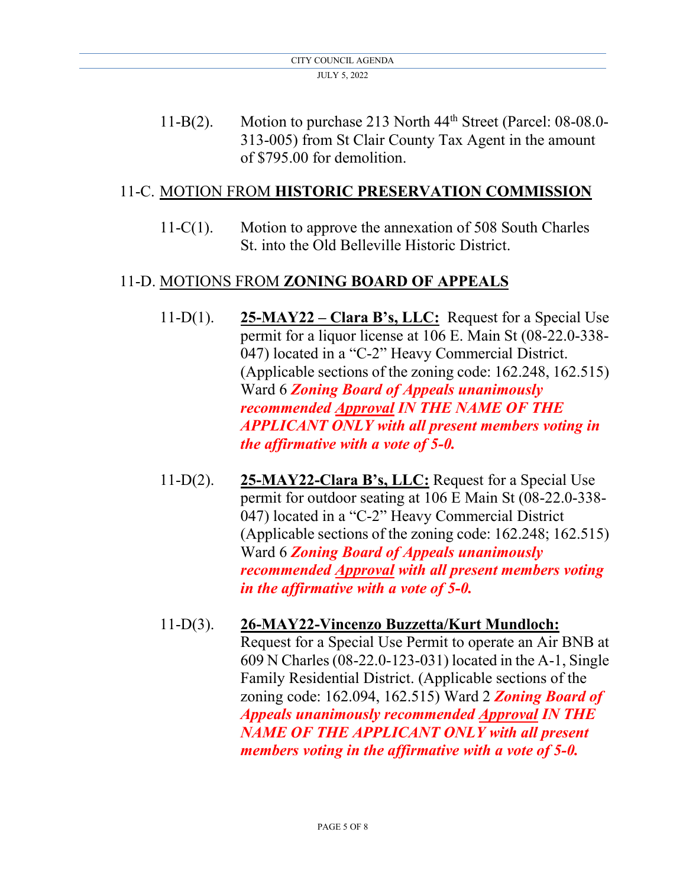11-B(2). Motion to purchase 213 North 44<sup>th</sup> Street (Parcel: 08-08.0- 313-005) from St Clair County Tax Agent in the amount of \$795.00 for demolition.

## 11-C. MOTION FROM **HISTORIC PRESERVATION COMMISSION**

11-C(1). Motion to approve the annexation of 508 South Charles St. into the Old Belleville Historic District.

## 11-D. MOTIONS FROM **ZONING BOARD OF APPEALS**

- 11-D(1). **25-MAY22 Clara B's, LLC:** Request for a Special Use permit for a liquor license at 106 E. Main St (08-22.0-338- 047) located in a "C-2" Heavy Commercial District. (Applicable sections of the zoning code: 162.248, 162.515) Ward 6 *Zoning Board of Appeals unanimously recommended Approval IN THE NAME OF THE APPLICANT ONLY with all present members voting in the affirmative with a vote of 5-0.*
- 11-D(2). **25-MAY22-Clara B's, LLC:** Request for a Special Use permit for outdoor seating at 106 E Main St (08-22.0-338- 047) located in a "C-2" Heavy Commercial District (Applicable sections of the zoning code: 162.248; 162.515) Ward 6 *Zoning Board of Appeals unanimously recommended Approval with all present members voting in the affirmative with a vote of 5-0.*
- 11-D(3). **26-MAY22-Vincenzo Buzzetta/Kurt Mundloch:** Request for a Special Use Permit to operate an Air BNB at 609 N Charles (08-22.0-123-031) located in the A-1, Single Family Residential District. (Applicable sections of the zoning code: 162.094, 162.515) Ward 2 *Zoning Board of Appeals unanimously recommended Approval IN THE NAME OF THE APPLICANT ONLY with all present members voting in the affirmative with a vote of 5-0.*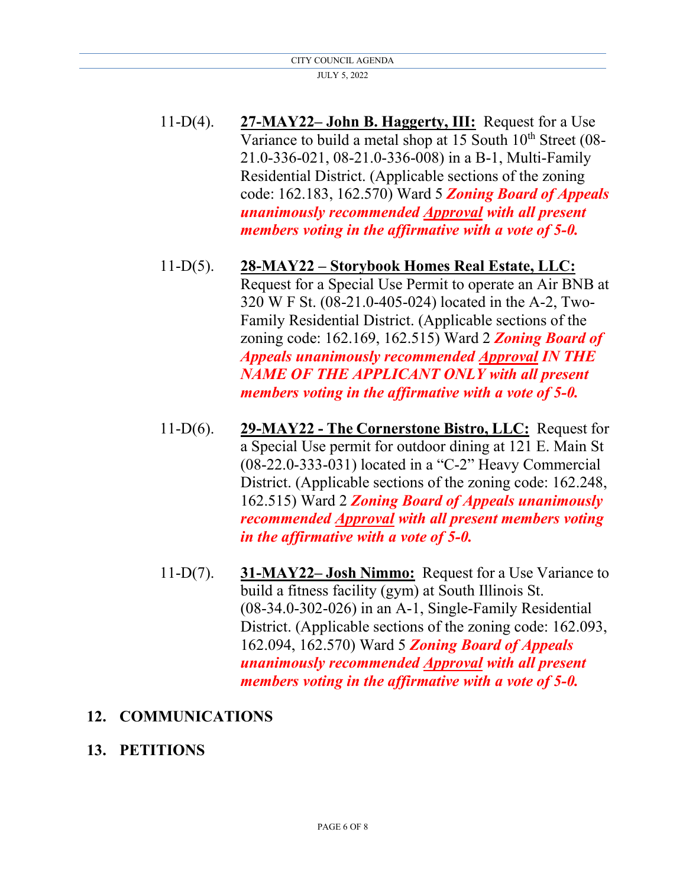- 11-D(4). **27-MAY22– John B. Haggerty, III:** Request for a Use Variance to build a metal shop at 15 South  $10<sup>th</sup>$  Street (08- 21.0-336-021, 08-21.0-336-008) in a B-1, Multi-Family Residential District. (Applicable sections of the zoning code: 162.183, 162.570) Ward 5 *Zoning Board of Appeals unanimously recommended Approval with all present members voting in the affirmative with a vote of 5-0.*
- 11-D(5). **28-MAY22 Storybook Homes Real Estate, LLC:** Request for a Special Use Permit to operate an Air BNB at 320 W F St. (08-21.0-405-024) located in the A-2, Two- Family Residential District. (Applicable sections of the zoning code: 162.169, 162.515) Ward 2 *Zoning Board of Appeals unanimously recommended Approval IN THE NAME OF THE APPLICANT ONLY with all present members voting in the affirmative with a vote of 5-0.*
- 11-D(6). **29-MAY22 The Cornerstone Bistro, LLC:** Request for a Special Use permit for outdoor dining at 121 E. Main St (08-22.0-333-031) located in a "C-2" Heavy Commercial District. (Applicable sections of the zoning code: 162.248, 162.515) Ward 2 *Zoning Board of Appeals unanimously recommended Approval with all present members voting in the affirmative with a vote of 5-0.*
- 11-D(7). **31-MAY22– Josh Nimmo:** Request for a Use Variance to build a fitness facility (gym) at South Illinois St. (08-34.0-302-026) in an A-1, Single-Family Residential District. (Applicable sections of the zoning code: 162.093, 162.094, 162.570) Ward 5 *Zoning Board of Appeals unanimously recommended Approval with all present members voting in the affirmative with a vote of 5-0.*

## **12. COMMUNICATIONS**

## **13. PETITIONS**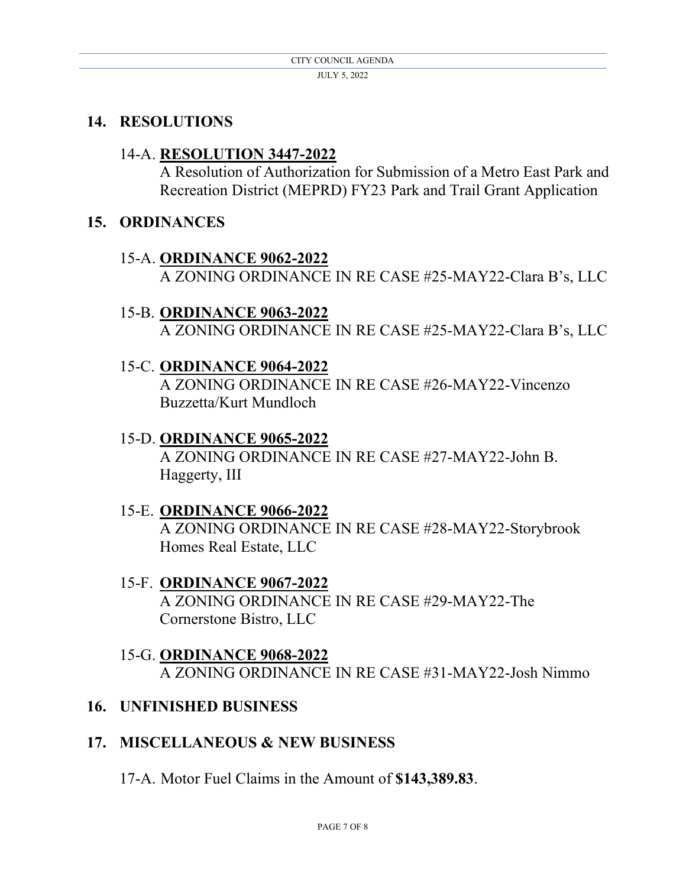## **14. RESOLUTIONS**

#### 14-A. **RESOLUTION 3447-2022**

A Resolution of Authorization for Submission of a Metro East Park and Recreation District (MEPRD) FY23 Park and Trail Grant Application

#### **15. ORDINANCES**

### 15-A. **ORDINANCE 9062-2022** A ZONING ORDINANCE IN RE CASE #25-MAY22-Clara B's, LLC

- 15-B. **ORDINANCE 9063-2022** A ZONING ORDINANCE IN RE CASE #25-MAY22-Clara B's, LLC
- 15-C. **ORDINANCE 9064-2022**

A ZONING ORDINANCE IN RE CASE #26-MAY22-Vincenzo Buzzetta/Kurt Mundloch

- 15-D. **ORDINANCE 9065-2022** A ZONING ORDINANCE IN RE CASE #27-MAY22-John B. Haggerty, III
- 15-E. **ORDINANCE 9066-2022** A ZONING ORDINANCE IN RE CASE #28-MAY22-Storybrook Homes Real Estate, LLC
- 15-F. **ORDINANCE 9067-2022** A ZONING ORDINANCE IN RE CASE #29-MAY22-The Cornerstone Bistro, LLC
- 15-G. **ORDINANCE 9068-2022** A ZONING ORDINANCE IN RE CASE #31-MAY22-Josh Nimmo

### **16. UNFINISHED BUSINESS**

## **17. MISCELLANEOUS & NEW BUSINESS**

17-A. Motor Fuel Claims in the Amount of **\$143,389.83**.